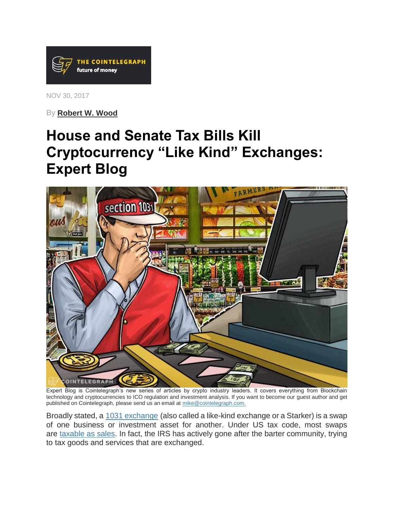

NOV 30, 2017

By **[Robert W. Wood](https://cointelegraph.com/news/irs-hunt-for-cryptocurrency-isnt-going-away-expert-blog)**

# **House and Senate Tax Bills Kill Cryptocurrency "Like Kind" Exchanges: Expert Blog**



Expert Blog is Cointelegraph's new series of articles by crypto industry leaders. It covers everything from Blockchain technology and cryptocurrencies to ICO regulation and investment analysis. If you want to become our guest author and get published on Cointelegraph, please send us an email at [mike@cointelegraph.com.](mailto:mike@cointelegraph.com)

Broadly stated, a [1031 exchange](https://www.irs.gov/newsroom/like-kind-exchanges-under-irc-code-section-1031) (also called a like-kind exchange or a Starker) is a swap of one business or investment asset for another. Under US tax code, most swaps are [taxable as sales.](http://www.forbes.com/2009/11/11/irs-tax-barter-exchange-income-personal-finance-wood.html) In fact, the IRS has actively gone after the barter community, trying to tax goods and services that are exchanged.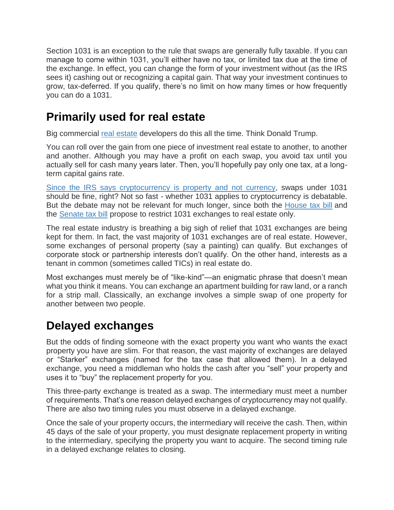Section 1031 is an exception to the rule that swaps are generally fully taxable. If you can manage to come within 1031, you'll either have no tax, or limited tax due at the time of the exchange. In effect, you can change the form of your investment without (as the IRS sees it) cashing out or recognizing a capital gain. That way your investment continues to grow, tax-deferred. If you qualify, there's no limit on how many times or how frequently you can do a 1031.

### **Primarily used for real estate**

Big commercial [real estate](https://cointelegraph.com/tags/real-estate) developers do this all the time. Think Donald Trump.

You can roll over the gain from one piece of investment real estate to another, to another and another. Although you may have a profit on each swap, you avoid tax until you actually sell for cash many years later. Then, you'll hopefully pay only one tax, at a longterm capital gains rate.

[Since the IRS says cryptocurrency is property](https://cointelegraph.com/news/cryptocurrency-tax-tips-until-tax-relief-passes-expert-blog) and not currency, swaps under 1031 should be fine, right? Not so fast - whether 1031 applies to cryptocurrency is debatable. But the debate may not be relevant for much longer, since both the [House tax bill](https://www.congress.gov/bill/115th-congress/house-bill/1/text) and the [Senate tax bill](https://www.finance.senate.gov/imo/media/doc/11.14.17%20Chairman) propose to restrict 1031 exchanges to real estate only.

The real estate industry is breathing a big sigh of relief that 1031 exchanges are being kept for them. In fact, the vast majority of 1031 exchanges are of real estate. However, some exchanges of personal property (say a painting) can qualify. But exchanges of corporate stock or partnership interests don't qualify. On the other hand, interests as a tenant in common (sometimes called TICs) in real estate do.

Most exchanges must merely be of "like-kind"—an enigmatic phrase that doesn't mean what you think it means. You can exchange an apartment building for raw land, or a ranch for a strip mall. Classically, an exchange involves a simple swap of one property for another between two people.

### **Delayed exchanges**

But the odds of finding someone with the exact property you want who wants the exact property you have are slim. For that reason, the vast majority of exchanges are delayed or "Starker" exchanges (named for the tax case that allowed them). In a delayed exchange, you need a middleman who holds the cash after you "sell" your property and uses it to "buy" the replacement property for you.

This three-party exchange is treated as a swap. The intermediary must meet a number of requirements. That's one reason delayed exchanges of cryptocurrency may not qualify. There are also two timing rules you must observe in a delayed exchange.

Once the sale of your property occurs, the intermediary will receive the cash. Then, within 45 days of the sale of your property, you must designate replacement property in writing to the intermediary, specifying the property you want to acquire. The second timing rule in a delayed exchange relates to closing.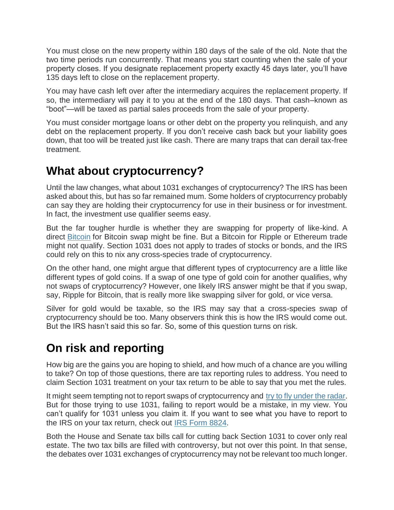You must close on the new property within 180 days of the sale of the old. Note that the two time periods run concurrently. That means you start counting when the sale of your property closes. If you designate replacement property exactly 45 days later, you'll have 135 days left to close on the replacement property.

You may have cash left over after the intermediary acquires the replacement property. If so, the intermediary will pay it to you at the end of the 180 days. That cash–known as "boot"—will be taxed as partial sales proceeds from the sale of your property.

You must consider mortgage loans or other debt on the property you relinquish, and any debt on the replacement property. If you don't receive cash back but your liability goes down, that too will be treated just like cash. There are many traps that can derail tax-free treatment.

#### **What about cryptocurrency?**

Until the law changes, what about 1031 exchanges of cryptocurrency? The IRS has been asked about this, but has so far remained mum. Some holders of cryptocurrency probably can say they are holding their cryptocurrency for use in their business or for investment. In fact, the investment use qualifier seems easy.

But the far tougher hurdle is whether they are swapping for property of like-kind. A direct **[Bitcoin](https://cointelegraph.com/tags/bitcoin)** for Bitcoin swap might be fine. But a Bitcoin for Ripple or Ethereum trade might not qualify. Section 1031 does not apply to trades of stocks or bonds, and the IRS could rely on this to nix any cross-species trade of cryptocurrency.

On the other hand, one might argue that different types of cryptocurrency are a little like different types of gold coins. If a swap of one type of gold coin for another qualifies, why not swaps of cryptocurrency? However, one likely IRS answer might be that if you swap, say, Ripple for Bitcoin, that is really more like swapping silver for gold, or vice versa.

Silver for gold would be taxable, so the IRS may say that a cross-species swap of cryptocurrency should be too. Many observers think this is how the IRS would come out. But the IRS hasn't said this so far. So, some of this question turns on risk.

## **On risk and reporting**

How big are the gains you are hoping to shield, and how much of a chance are you willing to take? On top of those questions, there are tax reporting rules to address. You need to claim Section 1031 treatment on your tax return to be able to say that you met the rules.

It might seem tempting not to report swaps of cryptocurrency and [try to fly under the radar.](https://cointelegraph.com/news/only-802-people-paid-taxes-on-bitcoin-profits-irs-says) But for those trying to use 1031, failing to report would be a mistake, in my view. You can't qualify for 1031 unless you claim it. If you want to see what you have to report to the IRS on your tax return, check out [IRS Form 8824.](https://www.irs.gov/pub/irs-access/f8824_accessible.pdf)

Both the House and Senate tax bills call for cutting back Section 1031 to cover only real estate. The two tax bills are filled with controversy, but not over this point. In that sense, the debates over 1031 exchanges of cryptocurrency may not be relevant too much longer.